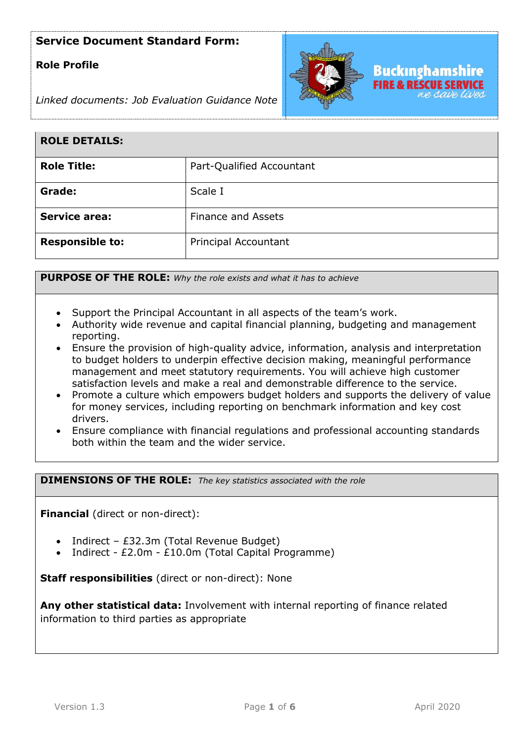## **Role Profile**



*Linked documents: Job Evaluation Guidance Note*

| <b>ROLE DETAILS:</b>   |                           |
|------------------------|---------------------------|
| <b>Role Title:</b>     | Part-Qualified Accountant |
| Grade:                 | Scale I                   |
| <b>Service area:</b>   | <b>Finance and Assets</b> |
| <b>Responsible to:</b> | Principal Accountant      |

**PURPOSE OF THE ROLE:** *Why the role exists and what it has to achieve* 

- Support the Principal Accountant in all aspects of the team's work.
- Authority wide revenue and capital financial planning, budgeting and management reporting.
- Ensure the provision of high-quality advice, information, analysis and interpretation to budget holders to underpin effective decision making, meaningful performance management and meet statutory requirements. You will achieve high customer satisfaction levels and make a real and demonstrable difference to the service.
- Promote a culture which empowers budget holders and supports the delivery of value for money services, including reporting on benchmark information and key cost drivers.
- Ensure compliance with financial regulations and professional accounting standards both within the team and the wider service.

**DIMENSIONS OF THE ROLE:** *The key statistics associated with the role*

**Financial** (direct or non-direct):

- Indirect £32.3m (Total Revenue Budget)
- Indirect £2.0m £10.0m (Total Capital Programme)

**Staff responsibilities** (direct or non-direct): None

**Any other statistical data:** Involvement with internal reporting of finance related information to third parties as appropriate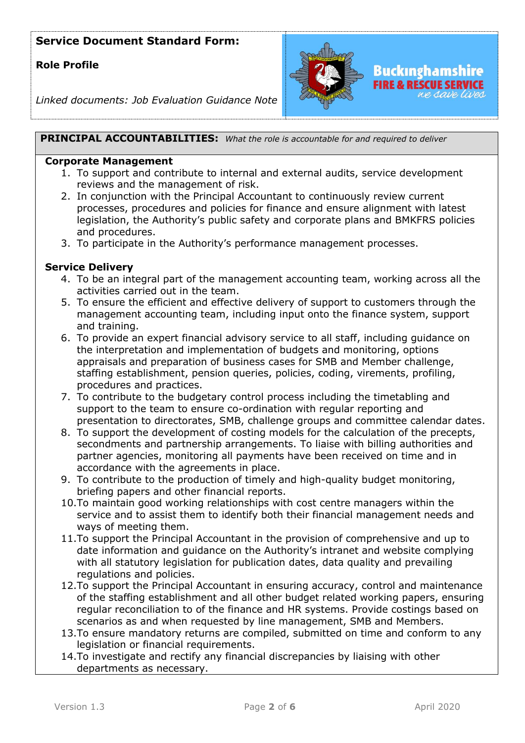## **Role Profile**



*Linked documents: Job Evaluation Guidance Note*

**PRINCIPAL ACCOUNTABILITIES:** *What the role is accountable for and required to deliver*

#### **Corporate Management**

- 1. To support and contribute to internal and external audits, service development reviews and the management of risk.
- 2. In conjunction with the Principal Accountant to continuously review current processes, procedures and policies for finance and ensure alignment with latest legislation, the Authority's public safety and corporate plans and BMKFRS policies and procedures.
- 3. To participate in the Authority's performance management processes.

#### **Service Delivery**

- 4. To be an integral part of the management accounting team, working across all the activities carried out in the team.
- 5. To ensure the efficient and effective delivery of support to customers through the management accounting team, including input onto the finance system, support and training.
- 6. To provide an expert financial advisory service to all staff, including guidance on the interpretation and implementation of budgets and monitoring, options appraisals and preparation of business cases for SMB and Member challenge, staffing establishment, pension queries, policies, coding, virements, profiling, procedures and practices.
- 7. To contribute to the budgetary control process including the timetabling and support to the team to ensure co-ordination with regular reporting and presentation to directorates, SMB, challenge groups and committee calendar dates.
- 8. To support the development of costing models for the calculation of the precepts, secondments and partnership arrangements. To liaise with billing authorities and partner agencies, monitoring all payments have been received on time and in accordance with the agreements in place.
- 9. To contribute to the production of timely and high-quality budget monitoring, briefing papers and other financial reports.
- 10.To maintain good working relationships with cost centre managers within the service and to assist them to identify both their financial management needs and ways of meeting them.
- 11.To support the Principal Accountant in the provision of comprehensive and up to date information and guidance on the Authority's intranet and website complying with all statutory legislation for publication dates, data quality and prevailing regulations and policies.
- 12.To support the Principal Accountant in ensuring accuracy, control and maintenance of the staffing establishment and all other budget related working papers, ensuring regular reconciliation to of the finance and HR systems. Provide costings based on scenarios as and when requested by line management, SMB and Members.
- 13.To ensure mandatory returns are compiled, submitted on time and conform to any legislation or financial requirements.
- 14.To investigate and rectify any financial discrepancies by liaising with other departments as necessary.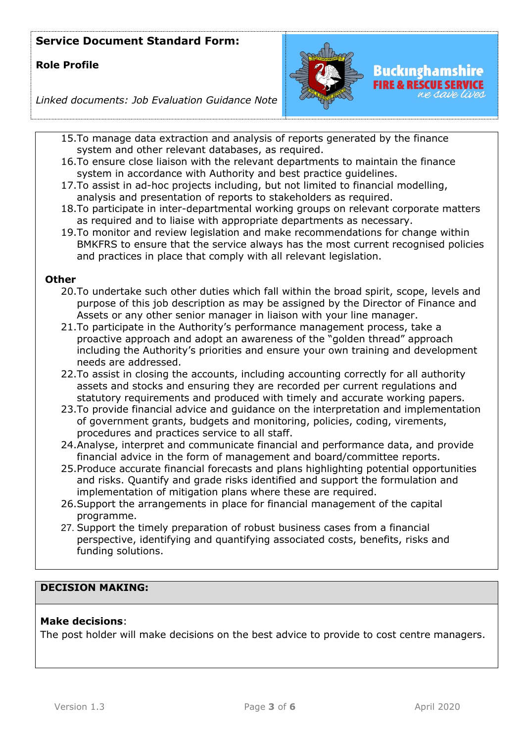## **Role Profile**



*Linked documents: Job Evaluation Guidance Note*

- 15.To manage data extraction and analysis of reports generated by the finance system and other relevant databases, as required.
- 16.To ensure close liaison with the relevant departments to maintain the finance system in accordance with Authority and best practice guidelines.
- 17.To assist in ad-hoc projects including, but not limited to financial modelling, analysis and presentation of reports to stakeholders as required.
- 18.To participate in inter-departmental working groups on relevant corporate matters as required and to liaise with appropriate departments as necessary.
- 19.To monitor and review legislation and make recommendations for change within BMKFRS to ensure that the service always has the most current recognised policies and practices in place that comply with all relevant legislation.

### **Other**

- 20.To undertake such other duties which fall within the broad spirit, scope, levels and purpose of this job description as may be assigned by the Director of Finance and Assets or any other senior manager in liaison with your line manager.
- 21.To participate in the Authority's performance management process, take a proactive approach and adopt an awareness of the "golden thread" approach including the Authority's priorities and ensure your own training and development needs are addressed.
- 22.To assist in closing the accounts, including accounting correctly for all authority assets and stocks and ensuring they are recorded per current regulations and statutory requirements and produced with timely and accurate working papers.
- 23.To provide financial advice and guidance on the interpretation and implementation of government grants, budgets and monitoring, policies, coding, virements, procedures and practices service to all staff.
- 24.Analyse, interpret and communicate financial and performance data, and provide financial advice in the form of management and board/committee reports.
- 25.Produce accurate financial forecasts and plans highlighting potential opportunities and risks. Quantify and grade risks identified and support the formulation and implementation of mitigation plans where these are required.
- 26.Support the arrangements in place for financial management of the capital programme.
- 27. Support the timely preparation of robust business cases from a financial perspective, identifying and quantifying associated costs, benefits, risks and funding solutions.

### **DECISION MAKING:**

### **Make decisions**:

The post holder will make decisions on the best advice to provide to cost centre managers.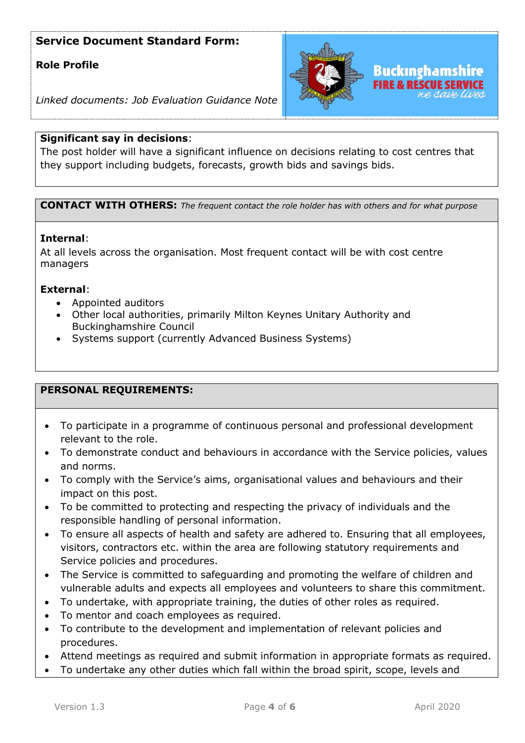## **Role Profile**



*Linked documents: Job Evaluation Guidance Note*

### **Significant say in decisions**:

The post holder will have a significant influence on decisions relating to cost centres that they support including budgets, forecasts, growth bids and savings bids.

**CONTACT WITH OTHERS:** *The frequent contact the role holder has with others and for what purpose* 

### **Internal**:

At all levels across the organisation. Most frequent contact will be with cost centre managers

### **External**:

- Appointed auditors
- Other local authorities, primarily Milton Keynes Unitary Authority and Buckinghamshire Council
- Systems support (currently Advanced Business Systems)

### **PERSONAL REQUIREMENTS:**

- To participate in a programme of continuous personal and professional development relevant to the role.
- To demonstrate conduct and behaviours in accordance with the Service policies, values and norms.
- To comply with the Service's aims, organisational values and behaviours and their impact on this post.
- To be committed to protecting and respecting the privacy of individuals and the responsible handling of personal information.
- To ensure all aspects of health and safety are adhered to. Ensuring that all employees, visitors, contractors etc. within the area are following statutory requirements and Service policies and procedures.
- The Service is committed to safeguarding and promoting the welfare of children and vulnerable adults and expects all employees and volunteers to share this commitment.
- To undertake, with appropriate training, the duties of other roles as required.
- To mentor and coach employees as required.
- To contribute to the development and implementation of relevant policies and procedures.
- Attend meetings as required and submit information in appropriate formats as required.
- To undertake any other duties which fall within the broad spirit, scope, levels and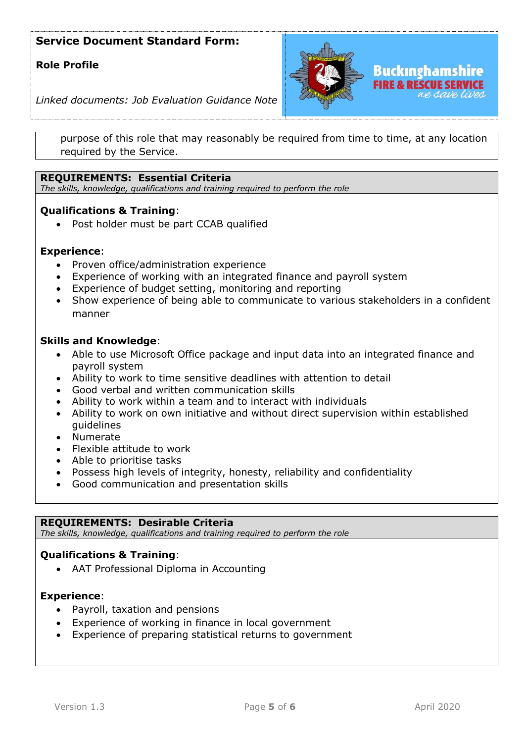### **Role Profile**



*Linked documents: Job Evaluation Guidance Note*

purpose of this role that may reasonably be required from time to time, at any location required by the Service.

### **REQUIREMENTS: Essential Criteria**

*The skills, knowledge, qualifications and training required to perform the role*

### **Qualifications & Training**:

• Post holder must be part CCAB qualified

#### **Experience**:

- Proven office/administration experience
- Experience of working with an integrated finance and payroll system
- Experience of budget setting, monitoring and reporting
- Show experience of being able to communicate to various stakeholders in a confident manner

#### **Skills and Knowledge**:

- Able to use Microsoft Office package and input data into an integrated finance and payroll system
- Ability to work to time sensitive deadlines with attention to detail
- Good verbal and written communication skills
- Ability to work within a team and to interact with individuals
- Ability to work on own initiative and without direct supervision within established guidelines
- Numerate
- Flexible attitude to work
- Able to prioritise tasks
- Possess high levels of integrity, honesty, reliability and confidentiality
- Good communication and presentation skills

#### **REQUIREMENTS: Desirable Criteria**

*The skills, knowledge, qualifications and training required to perform the role*

### **Qualifications & Training**:

• AAT Professional Diploma in Accounting

#### **Experience**:

- Payroll, taxation and pensions
- Experience of working in finance in local government
- Experience of preparing statistical returns to government